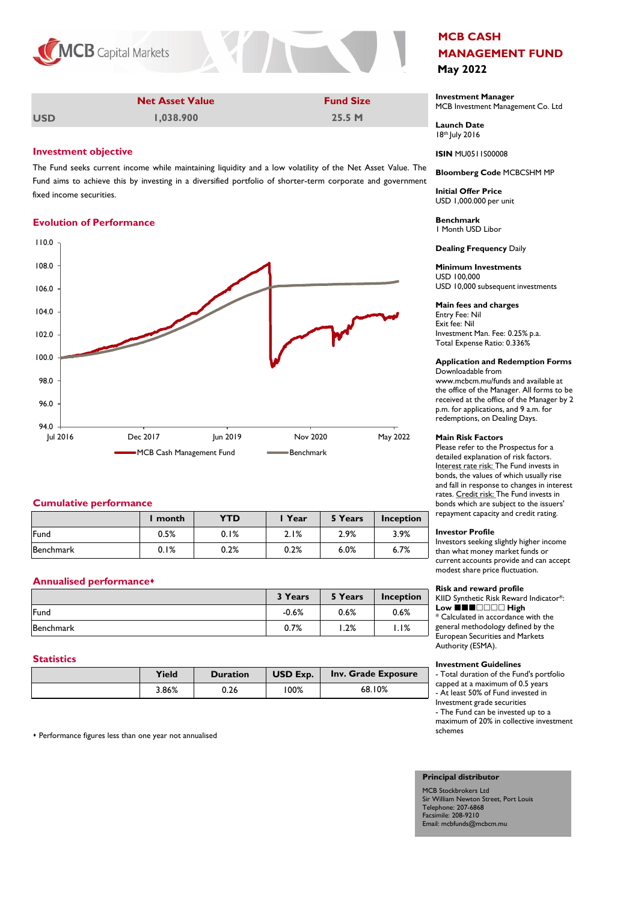

| <b>Net Asset Value</b> | <b>Fund Size</b> | Investmen<br><b>MCB</b> Investi |
|------------------------|------------------|---------------------------------|

**1,038.900 25.5 M**

## **Investment objective**

**USD** 

The Fund seeks current income while maintaining liquidity and a low volatility of the Net Asset Value. The Fund aims to achieve this by investing in a diversified portfolio of shorter-term corporate and government fixed income securities.

### **Evolution of Performance**



## **Cumulative performance**

|           | l month | <b>YTD</b> | l Year | 5 Years | <b>Inception</b> |
|-----------|---------|------------|--------|---------|------------------|
| Fund      | 0.5%    | 0.1%       | 2.1%   | 2.9%    | 3.9%             |
| Benchmark | 0.1%    | 0.2%       | 0.2%   | 6.0%    | 6.7%             |

# **Annualised performance**s

|           | 3 Years | 5 Years | Inception |
|-----------|---------|---------|-----------|
| Fund      | $-0.6%$ | 0.6%    | 0.6%      |
| Benchmark | 0.7%    | 1.2%    | I.I%      |

### **Statistics**

| Yield | <b>Duration</b> | USD Exp. | Inv. Grade Exposure |
|-------|-----------------|----------|---------------------|
| 3.86% | 0.26            | 100%     | 68.10%              |

s Performance figures less than one year not annualised

# **MCB CASH MANAGEMENT FUND May 2022**

**Investment Manager** ment Management Co. Ltd

**Launch Date** 18th July 2016

**ISIN** MU0511S00008

### **Bloomberg Code** MCBCSHM MP

**Initial Offer Price** USD 1,000.000 per unit

**Benchmark** 1 Month USD Libor

**Dealing Frequency** Daily

# **Minimum Investments**

USD 100,000 USD 10,000 subsequent investments

### **Main fees and charges**

Entry Fee: Nil Exit fee: Nil Investment Man. Fee: 0.25% p.a. Total Expense Ratio: 0.336%

# **Application and Redemption Forms**

Downloadable from www.mcbcm.mu/funds and available at the office of the Manager. All forms to be received at the office of the Manager by 2 p.m. for applications, and 9 a.m. for redemptions, on Dealing Days.

#### **Main Risk Factors**

Please refer to the Prospectus for a detailed explanation of risk factors. Interest rate risk: The Fund invests in bonds, the values of which usually rise and fall in response to changes in interest rates. Credit risk: The Fund invests in bonds which are subject to the issuers' repayment capacity and credit rating.

#### **Investor Profile**

Investors seeking slightly higher income than what money market funds or current accounts provide and can accept modest share price fluctuation.

#### **Risk and reward profile**

KIID Synthetic Risk Reward Indicator\*: **Low** ■■■□□□□ High \* Calculated in accordance with the general methodology defined by the European Securities and Markets Authority (ESMA).

#### **Investment Guidelines**

- Total duration of the Fund's portfolio capped at a maximum of 0.5 years - At least 50% of Fund invested in Investment grade securities - The Fund can be invested up to a maximum of 20% in collective investment schemes

#### **Principal distributor**

MCB Stockbrokers Ltd Sir William Newton Street, Port Louis Telephone: 207-6868 Facsimile: 208-9210 Email: mcbfunds@mcbcm.mu